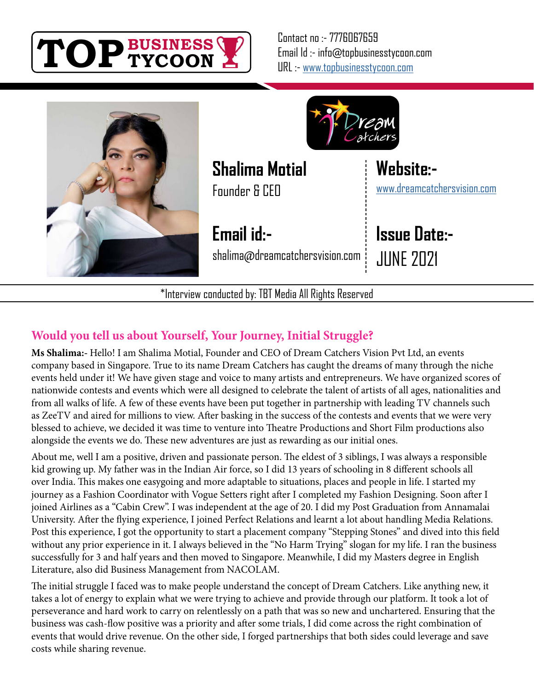

Contact no :- 7776067659 Email Id :- info@topbusinesstycoon.com URL :- [www.topbusinesstycoon.com](https://www.topbusinesstycoon.com/)





**Shalima Motial**

Founder & CEO

**Email id:** shalima@dreamcatchersvision.com

\*Interview conducted by: TBT Media All Rights Reserved

## **Issue Date:-** JUNE 2021

[www.dreamcatchersvision.com](https://www.talentresourze.com/)

**Website:-**

#### **Would you tell us about Yourself, Your Journey, Initial Struggle?**

**Ms Shalima:-** Hello! I am Shalima Motial, Founder and CEO of Dream Catchers Vision Pvt Ltd, an events company based in Singapore. True to its name Dream Catchers has caught the dreams of many through the niche events held under it! We have given stage and voice to many artists and entrepreneurs. We have organized scores of nationwide contests and events which were all designed to celebrate the talent of artists of all ages, nationalities and from all walks of life. A few of these events have been put together in partnership with leading TV channels such as ZeeTV and aired for millions to view. After basking in the success of the contests and events that we were very blessed to achieve, we decided it was time to venture into Theatre Productions and Short Film productions also alongside the events we do. These new adventures are just as rewarding as our initial ones.

About me, well I am a positive, driven and passionate person. The eldest of 3 siblings, I was always a responsible kid growing up. My father was in the Indian Air force, so I did 13 years of schooling in 8 different schools all over India. This makes one easygoing and more adaptable to situations, places and people in life. I started my journey as a Fashion Coordinator with Vogue Setters right after I completed my Fashion Designing. Soon after I joined Airlines as a "Cabin Crew". I was independent at the age of 20. I did my Post Graduation from Annamalai University. After the flying experience, I joined Perfect Relations and learnt a lot about handling Media Relations. Post this experience, I got the opportunity to start a placement company "Stepping Stones" and dived into this field without any prior experience in it. I always believed in the "No Harm Trying" slogan for my life. I ran the business successfully for 3 and half years and then moved to Singapore. Meanwhile, I did my Masters degree in English Literature, also did Business Management from NACOLAM.

The initial struggle I faced was to make people understand the concept of Dream Catchers. Like anything new, it takes a lot of energy to explain what we were trying to achieve and provide through our platform. It took a lot of perseverance and hard work to carry on relentlessly on a path that was so new and unchartered. Ensuring that the business was cash-flow positive was a priority and after some trials, I did come across the right combination of events that would drive revenue. On the other side, I forged partnerships that both sides could leverage and save costs while sharing revenue.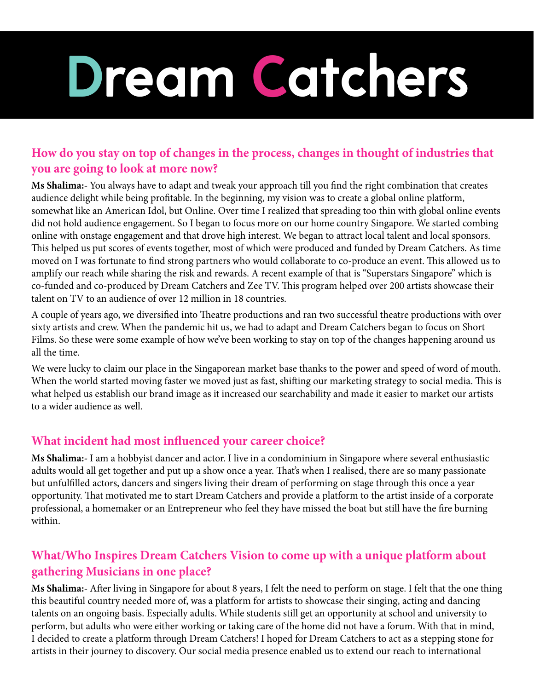# **Dream Catchers**

#### **How do you stay on top of changes in the process, changes in thought of industries that you are going to look at more now?**

**Ms Shalima:-** You always have to adapt and tweak your approach till you find the right combination that creates audience delight while being profitable. In the beginning, my vision was to create a global online platform, somewhat like an American Idol, but Online. Over time I realized that spreading too thin with global online events did not hold audience engagement. So I began to focus more on our home country Singapore. We started combing online with onstage engagement and that drove high interest. We began to attract local talent and local sponsors. This helped us put scores of events together, most of which were produced and funded by Dream Catchers. As time moved on I was fortunate to find strong partners who would collaborate to co-produce an event. This allowed us to amplify our reach while sharing the risk and rewards. A recent example of that is "Superstars Singapore" which is co-funded and co-produced by Dream Catchers and Zee TV. This program helped over 200 artists showcase their talent on TV to an audience of over 12 million in 18 countries.

A couple of years ago, we diversified into Theatre productions and ran two successful theatre productions with over sixty artists and crew. When the pandemic hit us, we had to adapt and Dream Catchers began to focus on Short Films. So these were some example of how we've been working to stay on top of the changes happening around us all the time.

We were lucky to claim our place in the Singaporean market base thanks to the power and speed of word of mouth. When the world started moving faster we moved just as fast, shifting our marketing strategy to social media. This is what helped us establish our brand image as it increased our searchability and made it easier to market our artists to a wider audience as well.

#### **What incident had most influenced your career choice?**

**Ms Shalima:-** I am a hobbyist dancer and actor. I live in a condominium in Singapore where several enthusiastic adults would all get together and put up a show once a year. That's when I realised, there are so many passionate but unfulfilled actors, dancers and singers living their dream of performing on stage through this once a year opportunity. That motivated me to start Dream Catchers and provide a platform to the artist inside of a corporate professional, a homemaker or an Entrepreneur who feel they have missed the boat but still have the fire burning within.

#### **What/Who Inspires Dream Catchers Vision to come up with a unique platform about gathering Musicians in one place?**

**Ms Shalima:-** After living in Singapore for about 8 years, I felt the need to perform on stage. I felt that the one thing this beautiful country needed more of, was a platform for artists to showcase their singing, acting and dancing talents on an ongoing basis. Especially adults. While students still get an opportunity at school and university to perform, but adults who were either working or taking care of the home did not have a forum. With that in mind, I decided to create a platform through Dream Catchers! I hoped for Dream Catchers to act as a stepping stone for artists in their journey to discovery. Our social media presence enabled us to extend our reach to international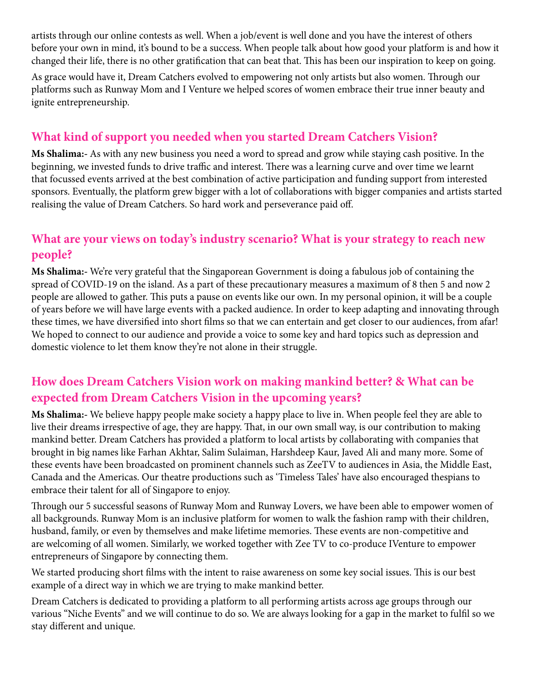artists through our online contests as well. When a job/event is well done and you have the interest of others before your own in mind, it's bound to be a success. When people talk about how good your platform is and how it changed their life, there is no other gratification that can beat that. This has been our inspiration to keep on going.

As grace would have it, Dream Catchers evolved to empowering not only artists but also women. Through our platforms such as Runway Mom and I Venture we helped scores of women embrace their true inner beauty and ignite entrepreneurship.

#### **What kind of support you needed when you started Dream Catchers Vision?**

**Ms Shalima:-** As with any new business you need a word to spread and grow while staying cash positive. In the beginning, we invested funds to drive traffic and interest. There was a learning curve and over time we learnt that focussed events arrived at the best combination of active participation and funding support from interested sponsors. Eventually, the platform grew bigger with a lot of collaborations with bigger companies and artists started realising the value of Dream Catchers. So hard work and perseverance paid off.

#### **What are your views on today's industry scenario? What is your strategy to reach new people?**

**Ms Shalima:-** We're very grateful that the Singaporean Government is doing a fabulous job of containing the spread of COVID-19 on the island. As a part of these precautionary measures a maximum of 8 then 5 and now 2 people are allowed to gather. This puts a pause on events like our own. In my personal opinion, it will be a couple of years before we will have large events with a packed audience. In order to keep adapting and innovating through these times, we have diversified into short films so that we can entertain and get closer to our audiences, from afar! We hoped to connect to our audience and provide a voice to some key and hard topics such as depression and domestic violence to let them know they're not alone in their struggle.

#### **How does Dream Catchers Vision work on making mankind better? & What can be expected from Dream Catchers Vision in the upcoming years?**

**Ms Shalima:-** We believe happy people make society a happy place to live in. When people feel they are able to live their dreams irrespective of age, they are happy. That, in our own small way, is our contribution to making mankind better. Dream Catchers has provided a platform to local artists by collaborating with companies that brought in big names like Farhan Akhtar, Salim Sulaiman, Harshdeep Kaur, Javed Ali and many more. Some of these events have been broadcasted on prominent channels such as ZeeTV to audiences in Asia, the Middle East, Canada and the Americas. Our theatre productions such as 'Timeless Tales' have also encouraged thespians to embrace their talent for all of Singapore to enjoy.

Through our 5 successful seasons of Runway Mom and Runway Lovers, we have been able to empower women of all backgrounds. Runway Mom is an inclusive platform for women to walk the fashion ramp with their children, husband, family, or even by themselves and make lifetime memories. These events are non-competitive and are welcoming of all women. Similarly, we worked together with Zee TV to co-produce IVenture to empower entrepreneurs of Singapore by connecting them.

We started producing short films with the intent to raise awareness on some key social issues. This is our best example of a direct way in which we are trying to make mankind better.

Dream Catchers is dedicated to providing a platform to all performing artists across age groups through our various "Niche Events" and we will continue to do so. We are always looking for a gap in the market to fulfil so we stay different and unique.